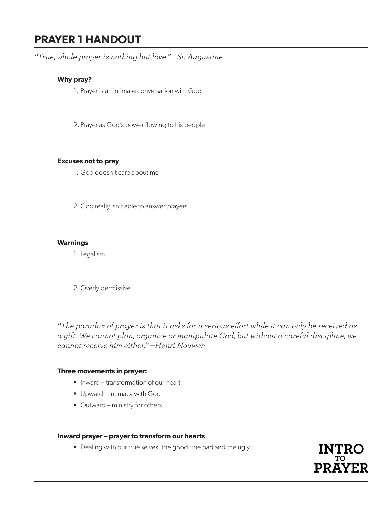# **PRAYER 1 HANDOUT**

*"True, whole prayer is nothing but love." —St. Augustine*

### **Why pray?**

- 1. Prayer is an intimate conversation with God
- 2. Prayer as God's power flowing to his people

#### **Excuses not to pray**

- 1. God doesn't care about me
- 2. God really isn't able to answer prayers

#### **Warnings**

1. Legalism

2.Overly permissive

*"The paradox of prayer is that it asks for a serious effort while it can only be received as a gift. We cannot plan, organize or manipulate God; but without a careful discipline, we cannot receive him either." —Henri Nouwen*

#### **Three movements in prayer:**

- Inward transformation of our heart
- **Upward intimacy with God**
- Outward ministry for others

#### **Inward prayer – prayer to transform our hearts**

Dealing with our true selves, the good, the bad and the ugly

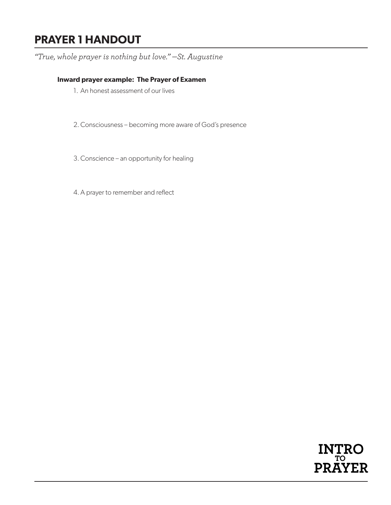# **PRAYER 1 HANDOUT**

*"True, whole prayer is nothing but love." —St. Augustine*

### **Inward prayer example: The Prayer of Examen**

- 1. An honest assessment of our lives
- 2.Consciousness becoming more aware of God's presence
- 3.Conscience an opportunity for healing
- 4.A prayer to remember and reflect

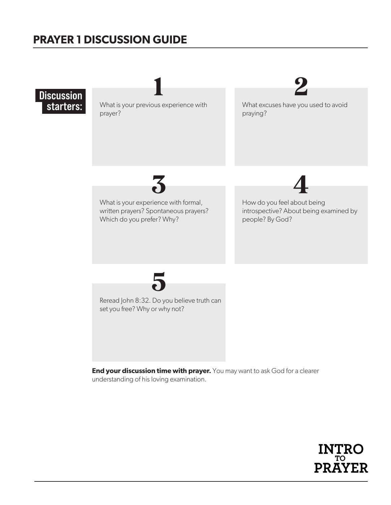# **PRAYER 1 DISCUSSION GUIDE**

**Discussion** starters:

What is your previous experience with prayer?

1 2

What excuses have you used to avoid praying?



What is your experience with formal, written prayers? Spontaneous prayers? Which do you prefer? Why?

How do you feel about being introspective? About being examined by people? By God?



Reread John 8:32. Do you believe truth can set you free? Why or why not?

**End your discussion time with prayer.** You may want to ask God for a clearer understanding of his loving examination.